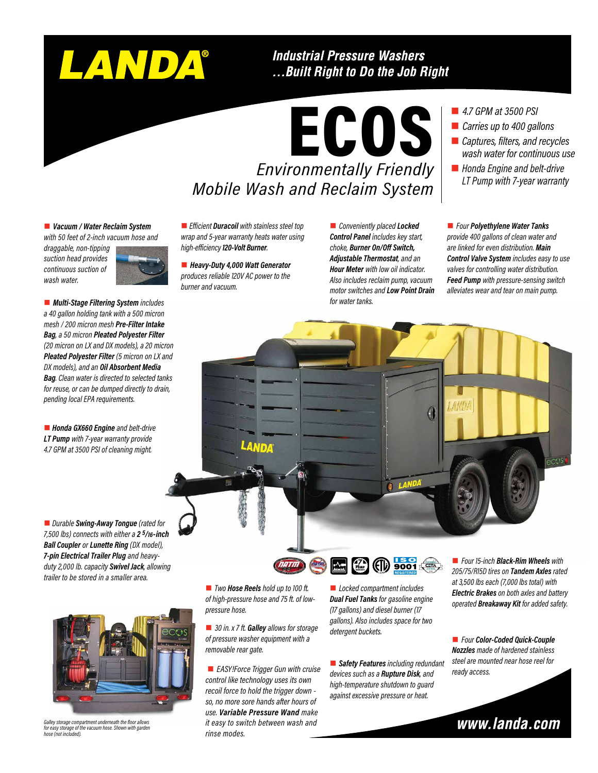# LANDA®

### **Industrial Pressure Washers** ...Built Right to Do the Job Right

ECOS *Environmentally Friendly Mobile Wash and Reclaim System* 

n *4.7 GPM at 3500 PSI*

- *Carries up to 400 gallons*
- *Captures, filters, and recycles wash water for continuous use*
- Honda Engine and belt-drive *LT Pump with 7-year warranty*

### ■ *Vacuum / Water Reclaim System*

*with 50 feet of 2-inch vacuum hose and draggable, non-tipping* 

*suction head provides continuous suction of wash water.*



■ *Multi-Stage Filtering System includes a 40 gallon holding tank with a 500 micron mesh / 200 micron mesh Pre-Filter Intake Bag, a 50 micron Pleated Polyester Filter (20 micron on LX and DX models), a 20 micron Pleated Polyester Filter (5 micron on LX and DX models), and an Oil Absorbent Media Bag. Clean water is directed to selected tanks for reuse, or can be dumped directly to drain, pending local EPA requirements.*

■ **Honda GX660 Engine** and belt-drive *LT Pump with 7-year warranty provide 4.7 GPM at 3500 PSI of cleaning might.*





*Galley storage compartment underneath the floor allows for easy storage of the vacuum hose. Shown with garden hose (not included).*

**n** *Efficient* **Duracoil** with stainless steel top *wrap and 5-year warranty heats water using high-efficiency 120-Volt Burner.*

■ Heavy-Duty 4,000 Watt Generator *produces reliable 120V AC power to the burner and vacuum.*

**n** *Conveniently placed Locked Control Panel includes key start, choke, Burner On/Off Switch, Adjustable Thermostat, and an Hour Meter with low oil indicator. Also includes reclaim pump, vacuum motor switches and Low Point Drain for water tanks.*

### n *Four Polyethylene Water Tanks provide 400 gallons of clean water and are linked for even distribution. Main Control Valve System includes easy to use valves for controlling water distribution. Feed Pump with pressure-sensing switch alleviates wear and tear on main pump.*



■ *Two Hose Reels hold up to 100 ft. of high-pressure hose and 75 ft. of lowpressure hose.*

■ 30 in. x 7 ft. **Galley** allows for storage *of pressure washer equipment with a removable rear gate.*

■ *EASY!Force Trigger Gun with cruise control like technology uses its own recoil force to hold the trigger down so, no more sore hands after hours of use. Variable Pressure Wand make it easy to switch between wash and rinse modes.*

■ *Locked compartment includes Dual Fuel Tanks for gasoline engine (17 gallons) and diesel burner (17 gallons). Also includes space for two detergent buckets.*

**PUMP WARRANTY**

■ **Safety Features** *including redundant devices such as a Rupture Disk, and high-temperature shutdown to guard against excessive pressure or heat.*

■ *Four 15-inch Black-Rim Wheels* with *205/75/R15D tires on Tandem Axles rated at 3,500 lbs each (7,000 lbs total) with Electric Brakes on both axles and battery operated Breakaway Kit for added safety.*

n *Four Color-Coded Quick-Couple Nozzles made of hardened stainless steel are mounted near hose reel for ready access.*

www.landa.com